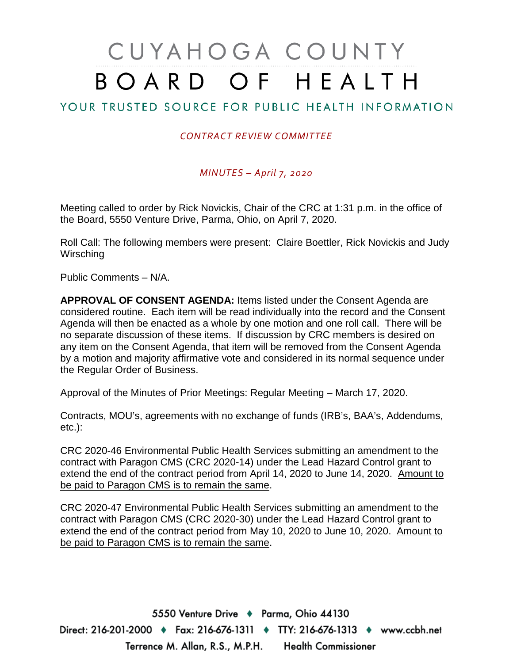# CUYAHOGA COUNTY BOARD OF HEALTH

## YOUR TRUSTED SOURCE FOR PUBLIC HEALTH INFORMATION

### *CONTRACT REVIEW COMMITTEE*

#### *MINUTES – April 7, 2020*

Meeting called to order by Rick Novickis, Chair of the CRC at 1:31 p.m. in the office of the Board, 5550 Venture Drive, Parma, Ohio, on April 7, 2020.

Roll Call: The following members were present: Claire Boettler, Rick Novickis and Judy **Wirsching** 

Public Comments – N/A.

**APPROVAL OF CONSENT AGENDA:** Items listed under the Consent Agenda are considered routine. Each item will be read individually into the record and the Consent Agenda will then be enacted as a whole by one motion and one roll call. There will be no separate discussion of these items. If discussion by CRC members is desired on any item on the Consent Agenda, that item will be removed from the Consent Agenda by a motion and majority affirmative vote and considered in its normal sequence under the Regular Order of Business.

Approval of the Minutes of Prior Meetings: Regular Meeting – March 17, 2020.

Contracts, MOU's, agreements with no exchange of funds (IRB's, BAA's, Addendums, etc.):

CRC 2020-46 Environmental Public Health Services submitting an amendment to the contract with Paragon CMS (CRC 2020-14) under the Lead Hazard Control grant to extend the end of the contract period from April 14, 2020 to June 14, 2020. Amount to be paid to Paragon CMS is to remain the same.

CRC 2020-47 Environmental Public Health Services submitting an amendment to the contract with Paragon CMS (CRC 2020-30) under the Lead Hazard Control grant to extend the end of the contract period from May 10, 2020 to June 10, 2020. Amount to be paid to Paragon CMS is to remain the same.

5550 Venture Drive + Parma, Ohio 44130 Direct: 216-201-2000 ♦ Fax: 216-676-1311 ♦ TTY: 216-676-1313 ♦ www.ccbh.net Terrence M. Allan, R.S., M.P.H. Health Commissioner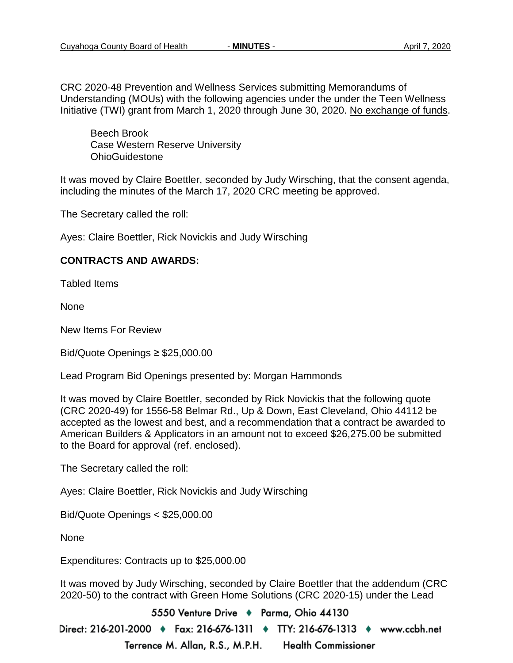CRC 2020-48 Prevention and Wellness Services submitting Memorandums of Understanding (MOUs) with the following agencies under the under the Teen Wellness Initiative (TWI) grant from March 1, 2020 through June 30, 2020. No exchange of funds.

Beech Brook Case Western Reserve University OhioGuidestone

It was moved by Claire Boettler, seconded by Judy Wirsching, that the consent agenda, including the minutes of the March 17, 2020 CRC meeting be approved.

The Secretary called the roll:

Ayes: Claire Boettler, Rick Novickis and Judy Wirsching

#### **CONTRACTS AND AWARDS:**

Tabled Items

None

New Items For Review

Bid/Quote Openings ≥ \$25,000.00

Lead Program Bid Openings presented by: Morgan Hammonds

It was moved by Claire Boettler, seconded by Rick Novickis that the following quote (CRC 2020-49) for 1556-58 Belmar Rd., Up & Down, East Cleveland, Ohio 44112 be accepted as the lowest and best, and a recommendation that a contract be awarded to American Builders & Applicators in an amount not to exceed \$26,275.00 be submitted to the Board for approval (ref. enclosed).

The Secretary called the roll:

Ayes: Claire Boettler, Rick Novickis and Judy Wirsching

Bid/Quote Openings < \$25,000.00

None

Expenditures: Contracts up to \$25,000.00

It was moved by Judy Wirsching, seconded by Claire Boettler that the addendum (CRC 2020-50) to the contract with Green Home Solutions (CRC 2020-15) under the Lead

5550 Venture Drive + Parma, Ohio 44130 Direct: 216-201-2000 ♦ Fax: 216-676-1311 ♦ TTY: 216-676-1313 ♦ www.ccbh.net Terrence M. Allan, R.S., M.P.H. **Health Commissioner**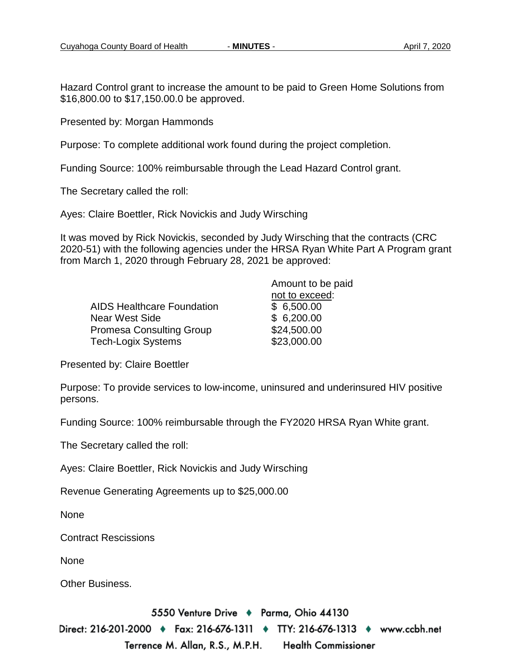Hazard Control grant to increase the amount to be paid to Green Home Solutions from \$16,800.00 to \$17,150.00.0 be approved.

Presented by: Morgan Hammonds

Purpose: To complete additional work found during the project completion.

Funding Source: 100% reimbursable through the Lead Hazard Control grant.

The Secretary called the roll:

Ayes: Claire Boettler, Rick Novickis and Judy Wirsching

It was moved by Rick Novickis, seconded by Judy Wirsching that the contracts (CRC 2020-51) with the following agencies under the HRSA Ryan White Part A Program grant from March 1, 2020 through February 28, 2021 be approved:

|                                   | Amount to be paid |
|-----------------------------------|-------------------|
|                                   | not to exceed:    |
| <b>AIDS Healthcare Foundation</b> | \$6,500.00        |
| Near West Side                    | \$6,200.00        |
| <b>Promesa Consulting Group</b>   | \$24,500.00       |
| Tech-Logix Systems                | \$23,000.00       |

Presented by: Claire Boettler

Purpose: To provide services to low-income, uninsured and underinsured HIV positive persons.

Funding Source: 100% reimbursable through the FY2020 HRSA Ryan White grant.

The Secretary called the roll:

Ayes: Claire Boettler, Rick Novickis and Judy Wirsching

Revenue Generating Agreements up to \$25,000.00

None

Contract Rescissions

None

Other Business.

5550 Venture Drive + Parma, Ohio 44130

Direct: 216-201-2000 ♦ Fax: 216-676-1311 ♦ TTY: 216-676-1313 ♦ www.ccbh.net Terrence M. Allan, R.S., M.P.H. Health Commissioner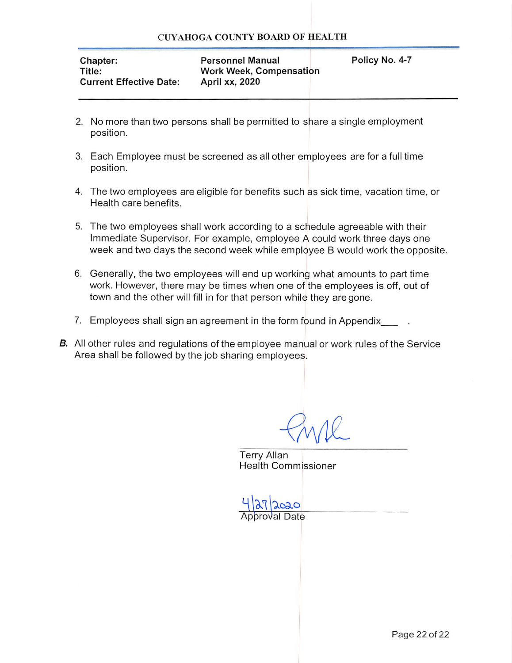| <b>Chapter:</b>                | <b>Personnel Manual</b>        | Policy No. 4-7 |
|--------------------------------|--------------------------------|----------------|
| Title:                         | <b>Work Week, Compensation</b> |                |
| <b>Current Effective Date:</b> | <b>April xx, 2020</b>          |                |

- 2. No more than two persons shall be permitted to share a single employment position.
- 3. Each Employee must be screened as all other employees are for a full time position.
- 4. The two employees are eligible for benefits such as sick time, vacation time, or Health care benefits.
- 5. The two employees shall work according to a schedule agreeable with their Immediate Supervisor. For example, employee A could work three days one week and two days the second week while employee B would work the opposite.
- 6. Generally, the two employees will end up working what amounts to part time work. However, there may be times when one of the employees is off, out of town and the other will fill in for that person while they are gone.
- 7. Employees shall sign an agreement in the form found in Appendix
- **B.** All other rules and regulations of the employee manual or work rules of the Service Area shall be followed by the job sharing employees.

**Terry Allan Health Commissioner** 

 $2020$